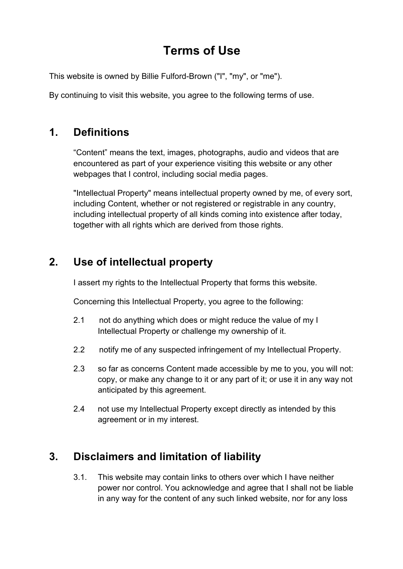## **Terms of Use**

This website is owned by Billie Fulford-Brown ("I", "my", or "me").

By continuing to visit this website, you agree to the following terms of use.

## **1. Definitions**

"Content" means the text, images, photographs, audio and videos that are encountered as part of your experience visiting this website or any other webpages that I control, including social media pages.

"Intellectual Property" means intellectual property owned by me, of every sort, including Content, whether or not registered or registrable in any country, including intellectual property of all kinds coming into existence after today, together with all rights which are derived from those rights.

## **2. Use of intellectual property**

I assert my rights to the Intellectual Property that forms this website.

Concerning this Intellectual Property, you agree to the following:

- 2.1 not do anything which does or might reduce the value of my I Intellectual Property or challenge my ownership of it.
- 2.2 notify me of any suspected infringement of my Intellectual Property.
- 2.3 so far as concerns Content made accessible by me to you, you will not: copy, or make any change to it or any part of it; or use it in any way not anticipated by this agreement.
- 2.4 not use my Intellectual Property except directly as intended by this agreement or in my interest.

## **3. Disclaimers and limitation of liability**

3.1. This website may contain links to others over which I have neither power nor control. You acknowledge and agree that I shall not be liable in any way for the content of any such linked website, nor for any loss